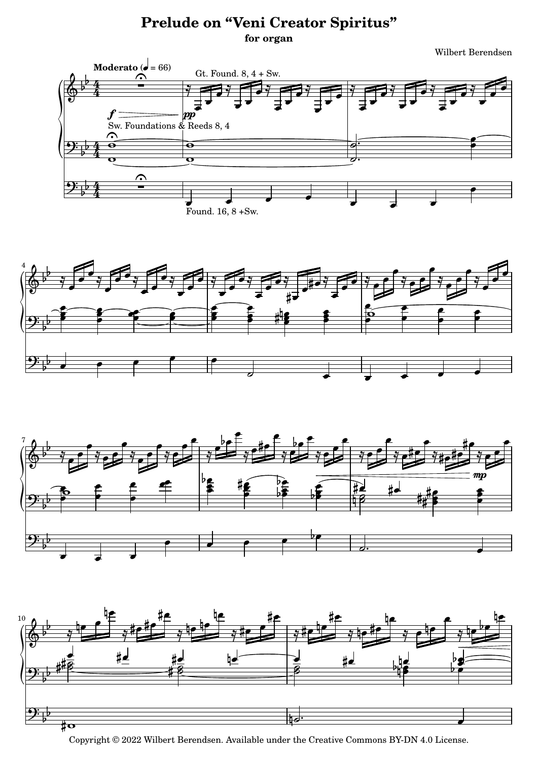## **Prelude on "Veni Creator Spiritus" for organ**

Wilbert Berendsen









Copyright © 2022 [Wilbert Berendsen.](https://wilbertberendsen.nl/) Available under the [Creative Commons BY-DN 4.0 License.](https://creativecommons.org/licenses/by-nd/4.0/deed.nl)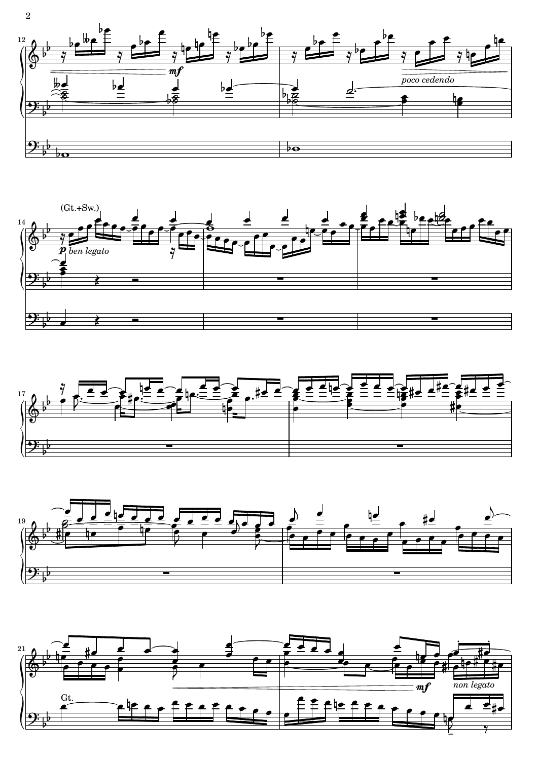







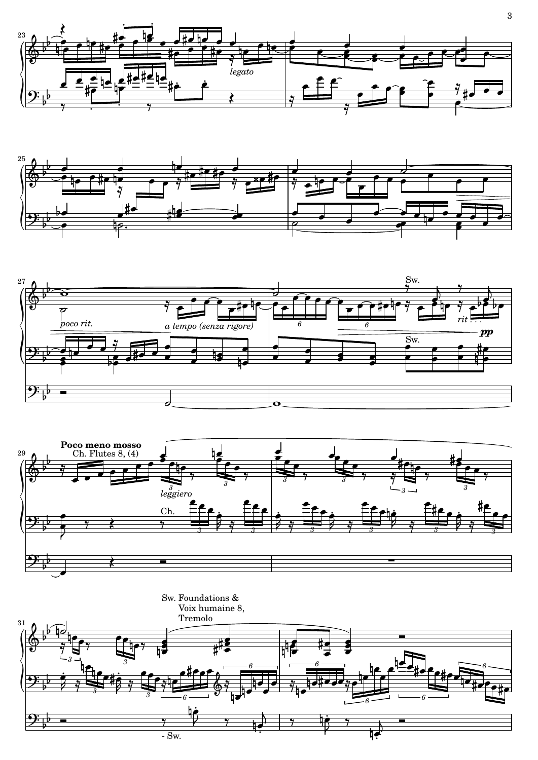







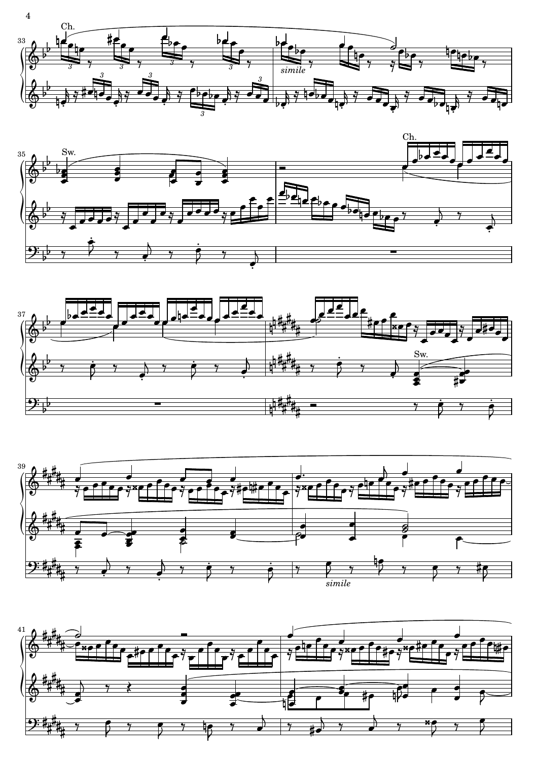







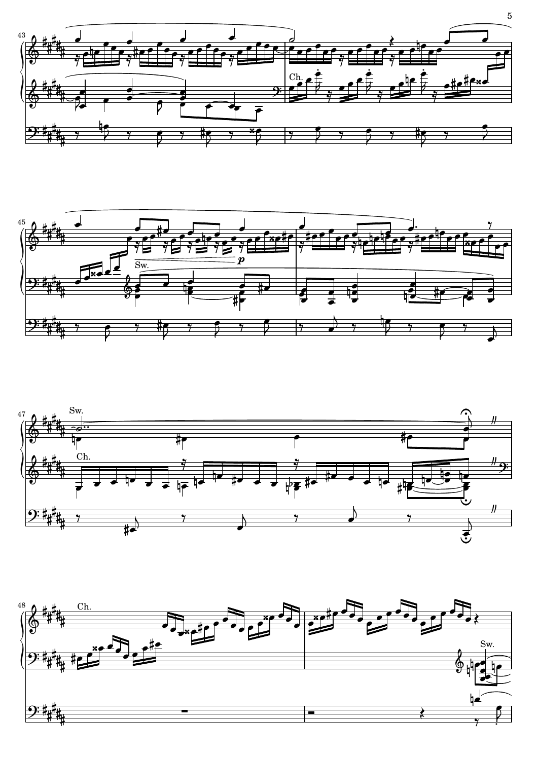





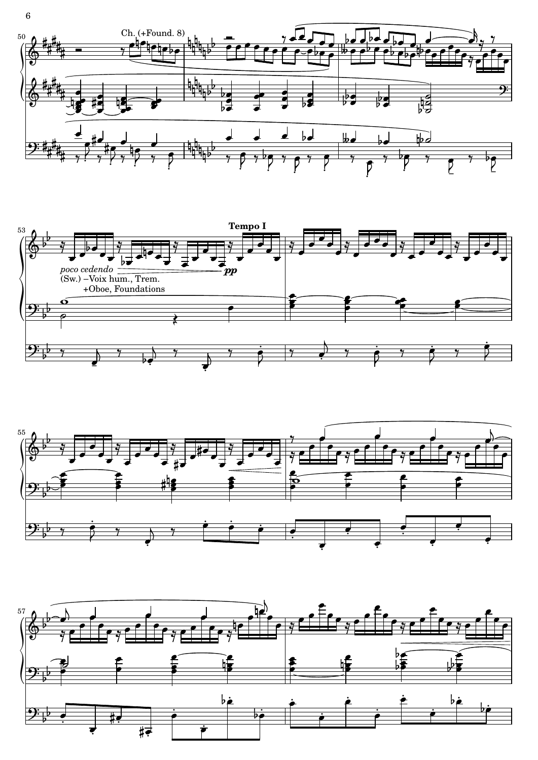





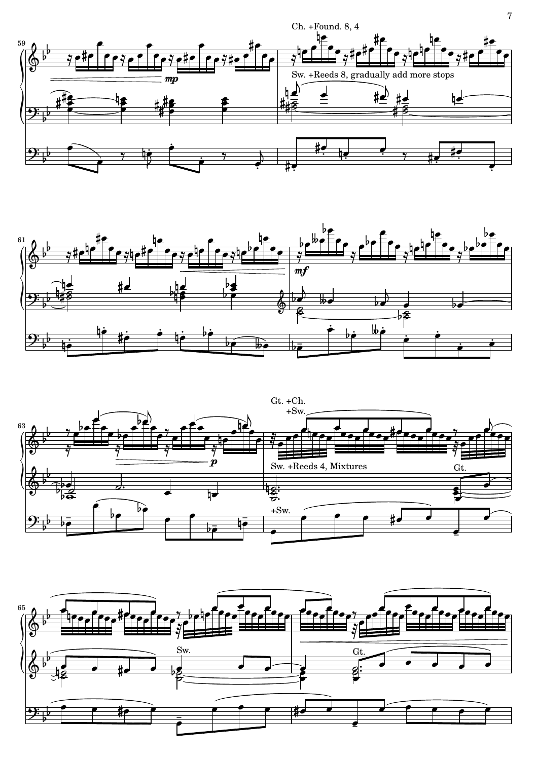